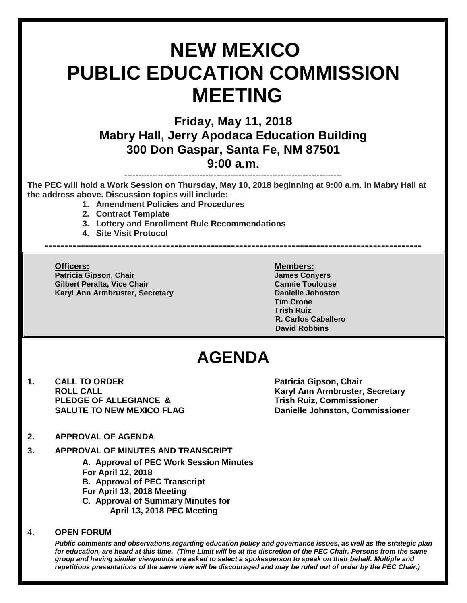# **NEW MEXICO PUBLIC EDUCATION COMMISSION MEETING**

## **Friday, May 11, 2018 Mabry Hall, Jerry Apodaca Education Building 300 Don Gaspar, Santa Fe, NM 87501 9:00 a.m.**

------------------------------------------------------------------------------

**The PEC will hold a Work Session on Thursday, May 10, 2018 beginning at 9:00 a.m. in Mabry Hall at the address above. Discussion topics will include:** 

**---------------------------------------------------------------------------------------------**

- **1. Amendment Policies and Procedures**
- **2. Contract Template**
- **3. Lottery and Enrollment Rule Recommendations**
- **4. Site Visit Protocol**

**Officers: Members: Patricia Gipson, Chair James Conyers Gilbert Peralta, Vice Chair Carmie Toulouse** Carmie Toulouse **Karyl Ann Armbruster, Secretary <b>Danielle Johnston** 

**Tim Crone Trish Ruiz R. Carlos Caballero David Robbins**

# **AGENDA**

**1. CALL TO ORDER Patricia Gipson, Chair PLEDGE OF ALLEGIANCE & Trish Ruiz, Commissioner** 

**ROLL CALL Karyl Ann Armbruster, Secretary SALUTE TO NEW MEXICO FLAG Danielle Johnston, Commissioner**

- **2. APPROVAL OF AGENDA**
- **3. APPROVAL OF MINUTES AND TRANSCRIPT**

**A. Approval of PEC Work Session Minutes For April 12, 2018 B. Approval of PEC Transcript For April 13, 2018 Meeting C. Approval of Summary Minutes for April 13, 2018 PEC Meeting**

#### 4. **OPEN FORUM**

*Public comments and observations regarding education policy and governance issues, as well as the strategic plan for education, are heard at this time. (Time Limit will be at the discretion of the PEC Chair. Persons from the same group and having similar viewpoints are asked to select a spokesperson to speak on their behalf. Multiple and repetitious presentations of the same view will be discouraged and may be ruled out of order by the PEC Chair.)*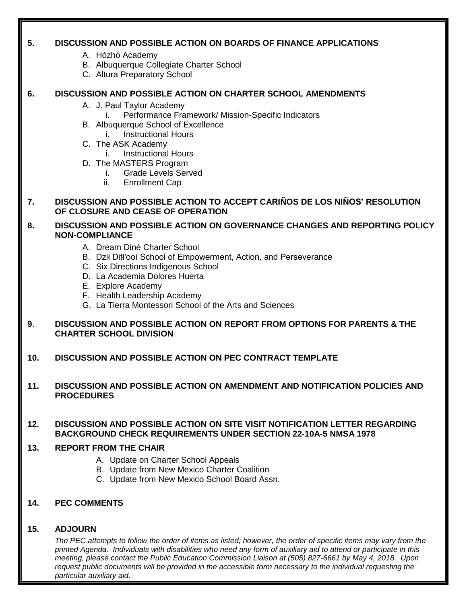#### **5. DISCUSSION AND POSSIBLE ACTION ON BOARDS OF FINANCE APPLICATIONS**

- A. Hózhó Academy
- B. Albuquerque Collegiate Charter School
- C. Altura Preparatory School

#### **6. DISCUSSION AND POSSIBLE ACTION ON CHARTER SCHOOL AMENDMENTS**

- A. J. Paul Taylor Academy
	- i. Performance Framework/ Mission-Specific Indicators
- B. Albuquerque School of Excellence
	- i. Instructional Hours
- C. The ASK Academy
	- i. Instructional Hours
- D. The MASTERS Program
	- i. Grade Levels Served
	- ii. Enrollment Cap
- **7. DISCUSSION AND POSSIBLE ACTION TO ACCEPT CARIÑOS DE LOS NIÑOS' RESOLUTION OF CLOSURE AND CEASE OF OPERATION**

#### **8. DISCUSSION AND POSSIBLE ACTION ON GOVERNANCE CHANGES AND REPORTING POLICY NON-COMPLIANCE**

- A. Dream Diné Charter School
- B. Dził Ditł'ooí School of Empowerment, Action, and Perseverance
- C. Six Directions Indigenous School
- D. La Academia Dolores Huerta
- E. Explore Academy
- F. Health Leadership Academy
- G. La Tierra Montessori School of the Arts and Sciences

#### **9**. **DISCUSSION AND POSSIBLE ACTION ON REPORT FROM OPTIONS FOR PARENTS & THE CHARTER SCHOOL DIVISION**

**10. DISCUSSION AND POSSIBLE ACTION ON PEC CONTRACT TEMPLATE**

#### **11. DISCUSSION AND POSSIBLE ACTION ON AMENDMENT AND NOTIFICATION POLICIES AND PROCEDURES**

#### **12. DISCUSSION AND POSSIBLE ACTION ON SITE VISIT NOTIFICATION LETTER REGARDING BACKGROUND CHECK REQUIREMENTS UNDER SECTION 22-10A-5 NMSA 1978**

#### **13. REPORT FROM THE CHAIR**

- A. Update on Charter School Appeals
- B. Update from New Mexico Charter Coalition
- C. Update from New Mexico School Board Assn.

#### **14. PEC COMMENTS**

#### **15. ADJOURN**

*The PEC attempts to follow the order of items as listed; however, the order of specific items may vary from the printed Agenda. Individuals with disabilities who need any form of auxiliary aid to attend or participate in this meeting, please contact the Public Education Commission Liaison at (505) 827-6661 by May 4, 2018. Upon request public documents will be provided in the accessible form necessary to the individual requesting the particular auxiliary aid.*